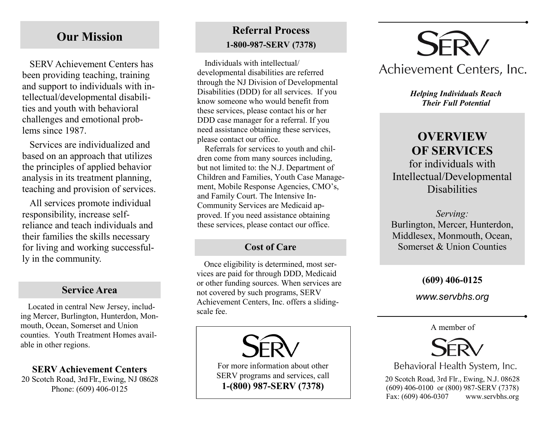## **Our Mission**

SERV Achievement Centers has been providing teaching, training and support to individuals with intellectual/developmental disabilities and youth with behavioral challenges and emotional problems since 1987.

Services are individualized and based on an approach that utilizes the principles of applied behavior analysis in its treatment planning, teaching and provision of services.

All services promote individual responsibility, increase selfreliance and teach individuals and their families the skills necessary for living and working successfully in the community.

#### **Service Area**

Located in central New Jersey, including Mercer, Burlington, Hunterdon, Monmouth, Ocean, Somerset and Union counties. Youth Treatment Homes available in other regions.

**SERV Achievement Centers** 20 Scotch Road, 3rd Flr., Ewing, NJ 08628 Phone: (609) 406-0125

## **Referral Process 1-800-987-SERV (7378)**

Individuals with intellectual/ developmental disabilities are referred through the NJ Division of Developmental Disabilities (DDD) for all services. If you know someone who would benefit from these services, please contact his or her DDD case manager for a referral. If you need assistance obtaining these services, please contact our office.

Referrals for services to youth and children come from many sources including, but not limited to: the N.J. Department of Children and Families, Youth Case Management, Mobile Response Agencies, CMO's, and Family Court. The Intensive In-Community Services are Medicaid approved. If you need assistance obtaining these services, please contact our office.

#### **Cost of Care**

Once eligibility is determined, most services are paid for through DDD, Medicaid or other funding sources. When services are not covered by such programs, SERV Achievement Centers, Inc. offers a slidingscale fee.

> For more information about other SERV programs and services, call **1-(800) 987-SERV (7378)**



## Achievement Centers, Inc.

*Helping Individuals Reach Their Full Potential*

# **OVERVIEW OF SERVICES**

for individuals with Intellectual/Developmental Disabilities

*Serving:* Burlington, Mercer, Hunterdon, Middlesex, Monmouth, Ocean, Somerset & Union Counties

#### **(609) 406-0125**

*www.servbhs.org*

A member of



Behavioral Health System, Inc.

20 Scotch Road, 3rd Flr., Ewing, N.J. 08628 (609) 406-0100 or (800) 987-SERV (7378) Fax: (609) 406-0307 www.servbhs.org